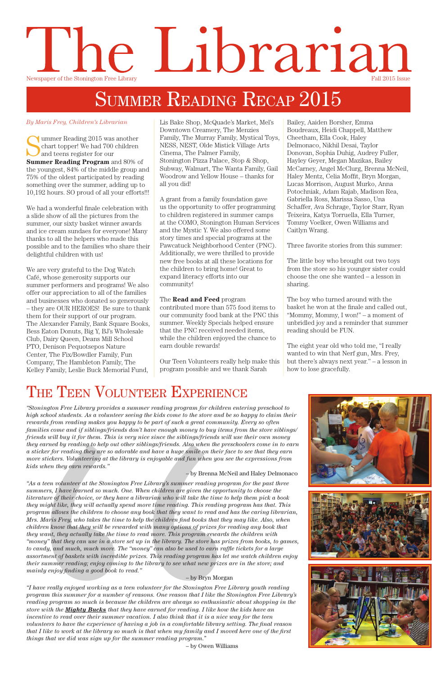## Librarian IC Newspaper of the Stonington Free Library Fall 2015 Issue

## SUMMER READING RECAP 2015

Summer Reading 2015 was another<br>
Summer Reading Program and 2004. chart topper! We had 700 children and teens register for our **Summer Reading Program** and 80% of the youngest, 84% of the middle group and 75% of the oldest participated by reading something over the summer, adding up to 10,192 hours. SO proud of all your efforts!!!

We had a wonderful finale celebration with a slide show of all the pictures from the summer, our sixty basket winner awards and ice cream sundaes for everyone! Many thanks to all the helpers who made this possible and to the families who share their delightful children with us!

By Maris Frey, Children's Librarian **Busic Listensis Explore, McQuade's Market, Mel's** Bailey, Aaiden Borsher, Emma Downtown Creamery, The Menzies Family, The Murray Family, Mystical Toys, NESS, NEST, Olde Mistick Village Arts Cinema, The Palmer Family, Stonington Pizza Palace, Stop & Shop, Subway, Walmart, The Wanta Family, Gail Woodrow and Yellow House – thanks for all you did!

We are very grateful to the Dog Watch Café, whose generosity supports our summer performers and programs! We also offer our appreciation to all of the families and businesses who donated so generously – they are OUR HEROES! Be sure to thank them for their support of our program. The Alexander Family, Bank Square Books, Bess Eaton Donuts, Big Y, BJ's Wholesale Club, Dairy Queen, Deans Mill School PTO, Denison Pequotsepos Nature Center, The Fix/Bowdler Family, Fun Company, The Hambleton Family, The Kelley Family, Leslie Buck Memorial Fund,

A grant from a family foundation gave us the opportunity to offer programming to children registered in summer camps at the COMO, Stonington Human Services and the Mystic Y. We also offered some story times and special programs at the Pawcatuck Neighborhood Center (PNC). Additionally, we were thrilled to provide new free books at all these locations for the children to bring home! Great to expand literacy efforts into our community!

### The **Read and Feed** program

contributed more than 575 food items to our community food bank at the PNC this summer. Weekly Specials helped ensure that the PNC received needed items, while the children enjoyed the chance to earn double rewards!

Our Teen Volunteers really help make this program possible and we thank Sarah

Boudreaux, Heidi Chappell, Matthew Cheetham, Ella Cook, Haley Delmonaco, Nikhil Desai, Taylor Donovan, Sophia Duhig, Audrey Fuller, Hayley Geyer, Megan Mazikas, Bailey McCarney, Angel McClurg, Brenna McNeil, Haley Mentz, Celia Moffit, Bryn Morgan, Lucas Morrison, August Murko, Anna Potochniak, Adam Rajab, Madison Rea, Gabriella Ross, Marissa Sasso, Una Schaffer, Ava Schrage, Taylor Starr, Ryan Teixeira, Katya Torruella, Ella Turner, Tommy Voelker, Owen Williams and Caitlyn Wrang.

**THE TEEN VOLUNTEER EXPRETE CONTROLLY AND SET AS A SET AND SET AND SET AND SET AND SET AND SET AND SET AND SET AND SET AND SET AND A SURFARE THE SURFARE IN A SURFARE THE SURFARE SURFARE AND SURFARE AS A columner seeing th** *literature of their choice, or they have a librarian who will take the time to help them pick a book they might like, they will actually spend more time reading. This reading program has that. This program allows the children to choose any book that they want to read and has the caring librarian, Mrs. Maris Frey, who takes the time to help the children find books that they may like. Also, when children know that they will be rewarded with many options of prizes for reading any book that they want, they actually take the time to read more. This program rewards the children with "money" that they can use in a store set up in the library. The store has prizes from books, to games, to candy, and much, much more. The "money" can also be used to earn raffle tickets for a large assortment of baskets with incredible prizes. This reading program has let me watch children enjoy their summer reading; enjoy coming to the library to see what new prizes are in the store; and mainly enjoy finding a good book to read."*

Three favorite stories from this summer:

The little boy who brought out two toys from the store so his younger sister could choose the one she wanted – a lesson in sharing.

The boy who turned around with the basket he won at the finale and called out, "Mommy, Mommy, I won!" – a moment of unbridled joy and a reminder that summer reading should be FUN.

The eight year old who told me, "I really wanted to win that Nerf gun, Mrs. Frey, but there's always next year." – a lesson in how to lose gracefully.

## THE TEEN VOLUNTEER EXPERIENCE

*"Stonington Free Library provides a summer reading program for children entering preschool to high school students. As a volunteer seeing the kids come to the store and be so happy to claim their rewards from reading makes you happy to be part of such a great community. Every so often families come and if siblings/friends don't have enough money to buy items from the store siblings/ friends will buy it for them. This is very nice since the siblings/friends will use their own money they earned by reading to help out other siblings/friends. Also when the preschoolers come in to earn a sticker for reading they are so adorable and have a huge smile on their face to see that they earn more stickers. Volunteering at the library is enjoyable and fun when you see the expressions from kids when they earn rewards."*

– by Brenna McNeil and Haley Delmonaco

*"As a teen volunteer at the Stonington Free Library's summer reading program for the past three summers, I have learned so much. One. When children are given the opportunity to choose the* 



#### – by Bryn Morgan

*"I have really enjoyed working as a teen volunteer for the Stonington Free Library youth reading program this summer for a number of reasons. One reason that I like the Stonington Free Library's reading program so much is because the children are always so enthusiastic about shopping in the store with the Mighty Bucks that they have earned for reading. I like how the kids have an incentive to read over their summer vacation. I also think that it is a nice way for the teen volunteers to have the experience of having a job in a comfortable library setting. The final reason that I like to work at the library so much is that when my family and I moved here one of the first things that we did was sign up for the summer reading program.*"

– by Owen Williams



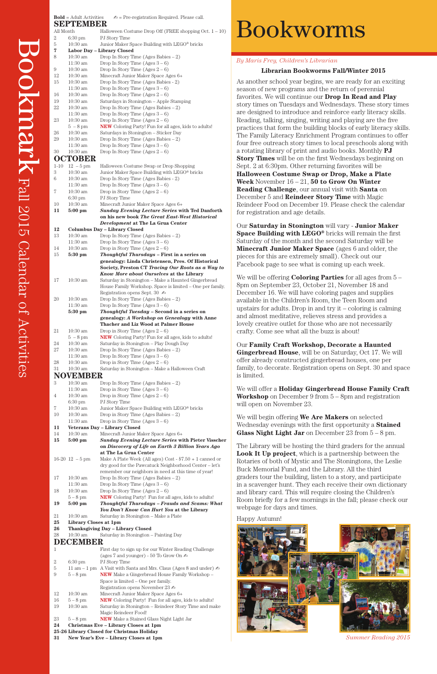# Bookworms

#### *By Maris Frey, Children's Librarian*

#### **Librarian Bookworms Fall/Winter 2015**

As another school year begins, we are ready for an exciting season of new programs and the return of perennial favorites. We will continue our **Drop In Read and Play** story times on Tuesdays and Wednesdays. These story times are designed to introduce and reinforce early literacy skills. Reading, talking, singing, writing and playing are the five practices that form the building blocks of early literacy skills. The Family Literacy Enrichment Program continues to offer four free outreach story times to local preschools along with a rotating library of print and audio books. Monthly **PJ Story Times** will be on the first Wednesdays beginning on Sept. 2 at 6:30pm. Other returning favorites will be **Halloween Costume Swap or Drop, Make a Plate Week** November 16 – 21, **50 to Grow On Winter Reading Challenge**, our annual visit with **Santa** on December 5 and **Reindeer Story Time** with Magic Reindeer Food on December 19. Please check the calendar for registration and age details.

Our **Saturday in Stonington** will vary - **Junior Maker Space Building with LEGO®** bricks will remain the first Saturday of the month and the second Saturday will be **Minecraft Junior Maker Space** (ages 6 and older, the pieces for this are extremely small). Check out our Facebook page to see what is coming up each week.

We will be offering **Coloring Parties** for all ages from 5 – 8pm on September 23, October 21, November 18 and December 16. We will have coloring pages and supplies available in the Children's Room, the Teen Room and upstairs for adults. Drop in and try it – coloring is calming and almost meditative, relieves stress and provides a lovely creative outlet for those who are not necessarily crafty. Come see what all the buzz is about!

Our **Family Craft Workshop, Decorate a Haunted Gingerbread House**, will be on Saturday, Oct 17. We will offer already constructed gingerbread houses, one per family, to decorate. Registration opens on Sept. 30 and space is limited.

We will offer a **Holiday Gingerbread House Family Craft Workshop** on December 9 from 5 – 8pm and registration will open on November 23.

We will begin offering **We Are Makers** on selected Wednesday evenings with the first opportunity a **Stained Glass Night Light Jar** on December 23 from 5 – 8 pm.

The Library will be hosting the third graders for the annual **Look It Up project**, which is a partnership between the Rotaries of both of Mystic and The Stoningtons, the Leslie Buck Memorial Fund, and the Library. All the third graders tour the building, listen to a story, and participate in a scavenger hunt. They each receive their own dictionary and library card. This will require closing the Children's Room briefly for a few mornings in the fall; please check our webpage for days and times.

#### Happy Autumn!

|           | $Bold = Adult Activities$       | $\mathbb{Z}$ = Pre-registration Required. Please call.                                               |
|-----------|---------------------------------|------------------------------------------------------------------------------------------------------|
|           | <b>SEPTEMBER</b>                |                                                                                                      |
| All Month |                                 | Halloween Costume Drop Off (FREE shopping Oct. $1 - 10$ )                                            |
| 2<br>5    | $6:30 \text{ pm}$<br>$10:30$ am | PJ Story Time<br>Junior Maker Space Building with LEGO® bricks                                       |
| 7         |                                 | Labor Day - Library Closed                                                                           |
| 8         | 10:30 am                        | Drop In Story Time (Ages Babies $-2$ )                                                               |
|           | $11:30$ am                      | Drop In Story Time (Ages $3-6$ )                                                                     |
| 9         | 10:30 am                        | Drop In Story Time (Ages $2-6$ )                                                                     |
| 12        | $10:30$ am                      | Minecraft Junior Maker Space Ages 6+                                                                 |
| 15        | $10:30$ am                      | Drop In Story Time (Ages Babies - 2)                                                                 |
| 16        | 11:30 am<br>$10:30$ am          | Drop In Story Time $(Ages 3 - 6)$<br>Drop In Story Time (Ages $2-6$ )                                |
| 19        | $10:30$ am                      | Saturdays in Stonington - Apple Stamping                                                             |
| 22        | $10:30$ am                      | Drop In Story Time (Ages Babies $-2$ )                                                               |
|           | $11:30$ am                      | Drop In Story Time (Ages $3-6$ )                                                                     |
| 23        | $10:30$ am                      | Drop In Story Time (Ages $2-6$ )                                                                     |
|           | $5 - 8$ pm                      | <b>NEW</b> Coloring Party! Fun for all ages, kids to adults!                                         |
| 26        | $10:30$ am                      | Saturdays in Stonington - Sticker Day                                                                |
| 29        | $10:30$ am                      | Drop In Story Time (Ages Babies $-2$ )                                                               |
| 30        | $11:30$ am<br>$10:30$ am        | Drop In Story Time (Ages $3-6$ )<br>Drop In Story Time (Ages $2-6$ )                                 |
|           | <b>OCTOBER</b>                  |                                                                                                      |
| $1 - 10$  | $12 - 5$ pm                     | Halloween Costume Swap or Drop Shopping                                                              |
| 3         | $10:30$ am                      | Junior Maker Space Building with LEGO <sup>®</sup> bricks                                            |
| 6         | $10:30$ am                      | Drop In Story Time (Ages Babies - 2)                                                                 |
|           | $11:30$ am                      | Drop In Story Time (Ages $3-6$ )                                                                     |
| 7         | $10:30$ am                      | Drop in Story Time (Ages $2-6$ )                                                                     |
|           | $6:30 \text{ pm}$               | PJ Story Time                                                                                        |
| 10        | 10:30 am                        | Minecraft Junior Maker Space Ages 6+                                                                 |
| 11        | $5:00$ pm                       | <b>Sunday Evening Lecture Series with Ted Danforth</b>                                               |
|           |                                 | on his new book The Great East-West Historical<br>Development at The La Grua Center                  |
| 12        |                                 | <b>Columbus Day - Library Closed</b>                                                                 |
| 13        | $10:30$ am                      | Drop In Story Time (Ages Babies $-2$ )                                                               |
|           | 11:30 am                        | Drop In Story Time (Ages $3-6$ )                                                                     |
| 14        | $10:30$ am                      | Drop in Story Time (Ages $2-6$ )                                                                     |
| 15        | $5:30$ pm                       | Thoughtful Thursdays - First in a series on                                                          |
|           |                                 | genealogy: Linda Christensen, Pres. Of Historical                                                    |
|           |                                 | Society, Preston CT Tracing Our Roots as a Way to<br><b>Know More about Ourselves at the Library</b> |
| 17        | $10:30$ am                      | Saturday in Stonington – Make a Haunted Gingerbread                                                  |
|           |                                 | House Family Workshop. Space is limited – One per family.                                            |
|           |                                 | Registration opens Sept. 30 $\blacktriangle$                                                         |
| 20        | $10:30$ am                      | Drop In Story Time (Ages Babies $-2$ )                                                               |
|           | $11:30$ am                      | Drop In Story Time (Ages $3-6$ )                                                                     |
|           | 5:30 pm                         | Thoughtful Tuesday - Second in a series on                                                           |
|           |                                 | genealogy: A Workshop on Genealogy with Anne<br><b>Thacher and Liz Wood at Palmer House</b>          |
| 21        | $10:30$ am                      | Drop in Story Time $(Ages 2 – 6)$                                                                    |
|           | $5 - 8$ pm                      | <b>NEW</b> Coloring Party! Fun for all ages, kids to adults!                                         |
| 24        | $10:30$ am                      | Saturday in Stonington – Play Dough Day                                                              |
| 27        | $10:30$ am                      | Drop In Story Time (Ages Babies $-2$ )                                                               |
|           | $11:30$ am                      | Drop In Story Time $(Ages 3 - 6)$                                                                    |
| 28        | $10:30$ am                      | Drop in Story Time (Ages $2-6$ )                                                                     |
| 31        | $10:30$ am                      | Saturday in Stonington - Make a Halloween Craft                                                      |
| NO        | VEMBER                          |                                                                                                      |
| 3         | $10:30$ am<br>$11:30$ am        | Drop In Story Time (Ages Babies $-2$ )<br>Drop in Story Time $(Ages 3 - 6)$                          |
| 4         | $10:30$ am                      | Drop in Story Time $(Ages 2 – 6)$                                                                    |
|           | $6:30 \text{ pm}$               | PJ Story Time                                                                                        |
| 7         | $10:30$ am                      | Junior Maker Space Building with LEGO <sup>®</sup> bricks                                            |
| 10        | $10:30$ am                      | Drop in Story Time (Ages Babies $-2$ )                                                               |
|           | $11:30$ am                      | Drop in Story Time (Ages $3-6$ )                                                                     |
| 11        |                                 | Veterans Day - Library Closed                                                                        |
| 14        | $10:30$ am                      | Minecraft Junior Maker Space Ages 6+                                                                 |
| 15        | $5:00$ pm                       | <b>Sunday Evening Lecture Series with Pieter Visscher</b>                                            |
|           |                                 | on Discovery of Life on Earth 3 Billion Years Ago<br>at The La Grua Center                           |
|           | $16-20$ 12 $-5$ pm              | Make A Plate Week (All ages) Cost - $$7.50 + 1$ canned or                                            |
|           |                                 | dry good for the Pawcatuck Neighborhood Center – let's                                               |

17 10:30 am Drop In Story Time (Ages Babies – 2) 11:30 am Drop In Story Time  $(Ages 3-6)$ 18 10:30 am Drop In Story Time (Ages  $2-6$ )

remember our neighbors in need at this time of year!

|                | $5-8$ pm              | <b>NEW</b> Coloring Party! Fun for all ages, kids to adults!                 |
|----------------|-----------------------|------------------------------------------------------------------------------|
| 19             | $5:00$ pm             | <b>Thoughtful Thursdays - Frauds and Scams: What</b>                         |
|                |                       | You Don't Know Can Hurt You at the Library                                   |
| 21             | $10:30 \text{ am}$    | Saturday in Stonington – Make a Plate                                        |
| 25             | Library Closes at 1pm |                                                                              |
| 26             |                       | <b>Thanksgiving Day - Library Closed</b>                                     |
| 28             | $10:30$ am            | Saturday in Stonington – Painting Day                                        |
|                | <b>DECEMBER</b>       |                                                                              |
| 1              |                       | First day to sign up for our Winter Reading Challenge                        |
|                |                       | (ages 7 and younger) - 50 To Grow On $\Delta$                                |
| $\overline{2}$ | $6:30 \text{ pm}$     | PJ Story Time                                                                |
| 5              |                       | 11 am – 1 pm A Visit with Santa and Mrs. Claus (Ages 8 and under) $\epsilon$ |
| 9              | $5-8$ pm              | <b>NEW</b> Make a Gingerbread House Family Workshop –                        |
|                |                       | Space is limited – One per family.                                           |
|                |                       | Registration opens November 23 $\triangle$                                   |
| 12             | $10:30 \text{ am}$    | Minecraft Junior Maker Space Ages 6+                                         |
| 16             | $5-8$ pm              | NEW Coloring Party! Fun for all ages, kids to adults!                        |
| 19             | $10:30$ am            | Saturday in Stonington – Reindeer Story Time and make                        |
|                |                       | Magic Reindeer Food!                                                         |
| 23             | $5-8$ pm              | <b>NEW</b> Make a Stained Glass Night Light Jar                              |
| 24             |                       | Christmas Eve - Library Closes at 1pm                                        |
|                |                       | 25-26 Library Closed for Christmas Holiday                                   |
| 31             |                       | New Year's Eve – Library Closes at 1pm                                       |
|                |                       |                                                                              |



**31 New Year's Eve – Library Closes at 1pm** *Summer Reading 2015*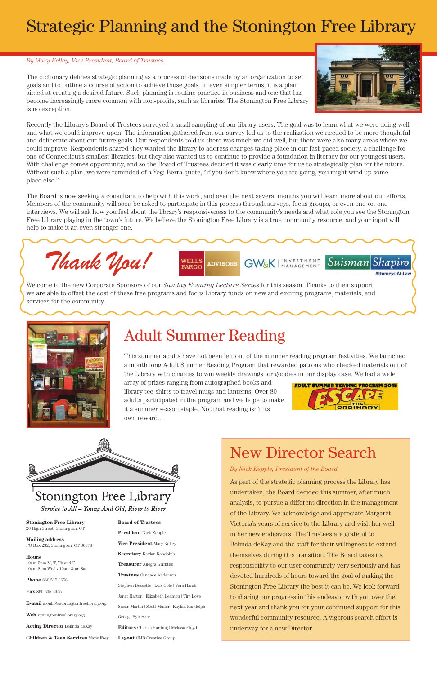## Strategic Planning and the Stonington Free Library

**Stonington Free Library** 20 High Street, Stonington, CT

**Mailing address** PO Box 232, Stonington, CT 06378

#### **Hours**

10am-5pm M, T, Th and F 10am-8pm Wed • 10am-3pm Sat

**Phone** 860.535.0658

**Fax** 860.535.3945

**E-mail** stonlib@stoningtonfreelibrary.org

**Web** stoningtonfreelibrary.org

**Acting Director** Belinda deKay

**Children & Teen Services** Maris Frey

#### **Board of Trustees**

**President** Nick Kepple

**Vice President** Mary Kelley **Secretary** Kaylan Randolph **Treasurer** Allegra Griffiths **Trustees** Candace Anderson Stephen Bessette | Lois Cole | Vera Harsh Janet Hatton | Elizabeth Leamon | Tim Love Susan Martin | Scott Muller | Kaylan Randolph George Sylvestre **Editors** Charles Harding | Melissa Floyd **Layout** CMB Creative Group

The dictionary defines strategic planning as a process of decisions made by an organization to set goals and to outline a course of action to achieve those goals. In even simpler terms, it is a plan aimed at creating a desired future. Such planning is routine practice in business and one that has become increasingly more common with non-profits, such as libraries. The Stonington Free Library is no exception.



Suisman Shapiro

**Attorneys-At-Law** 

Recently the Library's Board of Trustees surveyed a small sampling of our library users. The goal was to learn what we were doing well and what we could improve upon. The information gathered from our survey led us to the realization we needed to be more thoughtful and deliberate about our future goals. Our respondents told us there was much we did well, but there were also many areas where we could improve. Respondents shared they wanted the library to address changes taking place in our fast-paced society, a challenge for one of Connecticut's smallest libraries, but they also wanted us to continue to provide a foundation in literacy for our youngest users. With challenge comes opportunity, and so the Board of Trustees decided it was clearly time for us to strategically plan for the future. Without such a plan, we were reminded of a Yogi Berra quote, "if you don't know where you are going, you might wind up some place else."

The Board is now seeking a consultant to help with this work, and over the next several months you will learn more about our efforts. Members of the community will soon be asked to participate in this process through surveys, focus groups, or even one-on-one interviews. We will ask how you feel about the library's responsiveness to the community's needs and what role you see the Stonington Free Library playing in the town's future. We believe the Stonington Free Library is a true community resource, and your input will help to make it an even stronger one.

**ADVISORS** 

### Adult Summer Reading

This summer adults have not been left out of the summer reading program festivities. We launched a month long Adult Summer Reading Program that rewarded patrons who checked materials out of the Library with chances to win weekly drawings for goodies in our display case. We had a wide

array of prizes ranging from autographed books and library tee-shirts to travel mugs and lanterns. Over 80 adults participated in the program and we hope to make it a summer season staple. Not that reading isn't its own reward...





*Thank You!*

WELLS FARGO

**GW&K** 

#### *By Mary Kelley, Vice President, Board of Trustees*

Welcome to the new Corporate Sponsors of our *Sunday Evening Lecture Series* for this season. Thanks to their support we are able to offset the cost of these free programs and focus Library funds on new and exciting programs, materials, and services for the community.



### New Director Search

INVESTMENT<br>MANAGEMENT

As part of the strategic planning process the Library has undertaken, the Board decided this summer, after much

### Stonington Free Library

Service to All – Young And Old, River to River

analysis, to pursue a different direction in the management of the Library. We acknowledge and appreciate Margaret Victoria's years of service to the Library and wish her well in her new endeavors. The Trustees are grateful to Belinda deKay and the staff for their willingness to extend themselves during this transition. The Board takes its responsibility to our user community very seriously and has devoted hundreds of hours toward the goal of making the Stonington Free Library the best it can be. We look forward to sharing our progress in this endeavor with you over the next year and thank you for your continued support for this wonderful community resource. A vigorous search effort is underway for a new Director.

*By Nick Kepple, President of the Board*